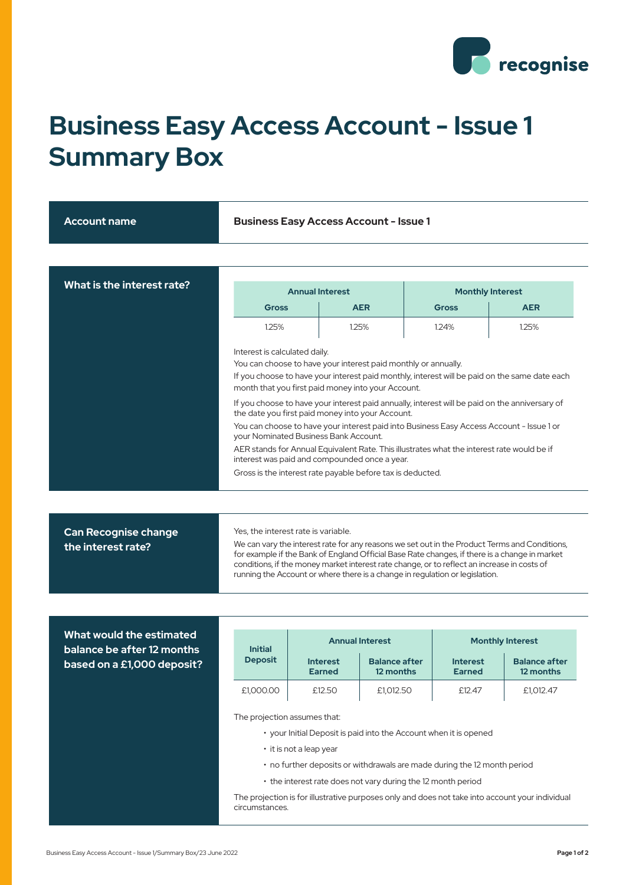

## **Business Easy Access Account - Issue 1 Summary Box**

| <b>Account name</b>        | <b>Business Easy Access Account - Issue 1</b>                                                                                                                                                                                                                                                                                                                               |                        |              |                         |  |
|----------------------------|-----------------------------------------------------------------------------------------------------------------------------------------------------------------------------------------------------------------------------------------------------------------------------------------------------------------------------------------------------------------------------|------------------------|--------------|-------------------------|--|
|                            |                                                                                                                                                                                                                                                                                                                                                                             |                        |              |                         |  |
| What is the interest rate? |                                                                                                                                                                                                                                                                                                                                                                             | <b>Annual Interest</b> |              | <b>Monthly Interest</b> |  |
|                            | <b>Gross</b>                                                                                                                                                                                                                                                                                                                                                                | <b>AER</b>             | <b>Gross</b> | <b>AER</b>              |  |
|                            | 1.25%                                                                                                                                                                                                                                                                                                                                                                       | 1.25%                  | 1.24%        | 1.25%                   |  |
|                            | You can choose to have your interest paid monthly or annually.<br>If you choose to have your interest paid monthly, interest will be paid on the same date each<br>month that you first paid money into your Account.<br>If you choose to have your interest paid annually, interest will be paid on the anniversary of<br>the date you first paid money into your Account. |                        |              |                         |  |
|                            | You can choose to have your interest paid into Business Easy Access Account - Issue 1 or<br>your Nominated Business Bank Account.                                                                                                                                                                                                                                           |                        |              |                         |  |
|                            | AER stands for Annual Equivalent Rate. This illustrates what the interest rate would be if<br>interest was paid and compounded once a year.                                                                                                                                                                                                                                 |                        |              |                         |  |
|                            | Gross is the interest rate payable before tax is deducted.                                                                                                                                                                                                                                                                                                                  |                        |              |                         |  |
|                            |                                                                                                                                                                                                                                                                                                                                                                             |                        |              |                         |  |
|                            |                                                                                                                                                                                                                                                                                                                                                                             |                        |              |                         |  |

| <b>Can Recognise change</b> | Yes, the interest rate is variable.                                                                                                                                                                                                                                                                                                                                           |
|-----------------------------|-------------------------------------------------------------------------------------------------------------------------------------------------------------------------------------------------------------------------------------------------------------------------------------------------------------------------------------------------------------------------------|
| the interest rate?          | We can vary the interest rate for any reasons we set out in the Product Terms and Conditions,<br>for example if the Bank of England Official Base Rate changes, if there is a change in market<br>conditions, if the money market interest rate change, or to reflect an increase in costs of<br>running the Account or where there is a change in regulation or legislation. |

## **What would the estimated balance be after 12 months based on a £1,000 deposit?**

| <b>Initial</b> | <b>Annual Interest</b>           |                                   | <b>Monthly Interest</b>          |                                   |
|----------------|----------------------------------|-----------------------------------|----------------------------------|-----------------------------------|
| <b>Deposit</b> | <b>Interest</b><br><b>Earned</b> | <b>Balance after</b><br>12 months | <b>Interest</b><br><b>Earned</b> | <b>Balance after</b><br>12 months |
| £1,000.00      | £12.50                           | £1,012.50                         | £12.47                           | £1,012.47                         |

The projection assumes that:

- your Initial Deposit is paid into the Account when it is opened
- it is not a leap year
- no further deposits or withdrawals are made during the 12 month period
- the interest rate does not vary during the 12 month period

The projection is for illustrative purposes only and does not take into account your individual circumstances.